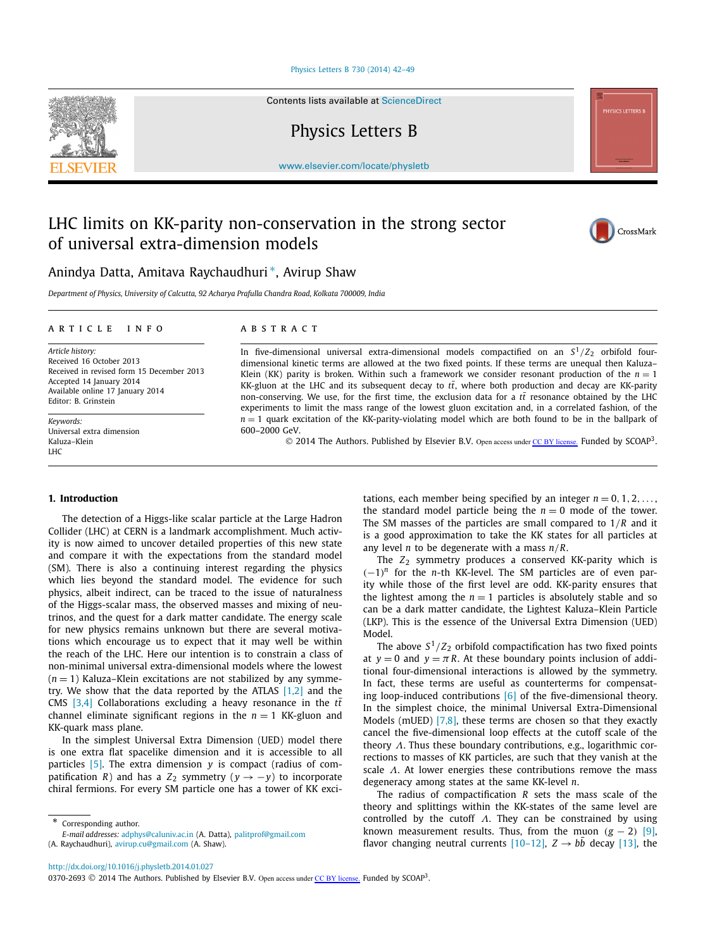#### Physics Letters B [730 \(2014\) 42–49](http://dx.doi.org/10.1016/j.physletb.2014.01.027)

Contents lists available at [ScienceDirect](http://www.ScienceDirect.com/)

Physics Letters B

[www.elsevier.com/locate/physletb](http://www.elsevier.com/locate/physletb)

# LHC limits on KK-parity non-conservation in the strong sector of universal extra-dimension models



Anindya Datta, Amitava Raychaudhuri ∗, Avirup Shaw

*Department of Physics, University of Calcutta, 92 Acharya Prafulla Chandra Road, Kolkata 700009, India*

#### ARTICLE INFO ABSTRACT

*Article history:* Received 16 October 2013 Received in revised form 15 December 2013 Accepted 14 January 2014 Available online 17 January 2014 Editor: B. Grinstein

*Keywords:* Universal extra dimension Kaluza–Klein  $I$  H $C$ 

In five-dimensional universal extra-dimensional models compactified on an  $S^1/Z_2$  orbifold fourdimensional kinetic terms are allowed at the two fixed points. If these terms are unequal then Kaluza– Klein (KK) parity is broken. Within such a framework we consider resonant production of the  $n = 1$ KK-gluon at the LHC and its subsequent decay to  $t\bar{t}$ , where both production and decay are KK-parity non-conserving. We use, for the first time, the exclusion data for a  $t\bar{t}$  resonance obtained by the LHC experiments to limit the mass range of the lowest gluon excitation and, in a correlated fashion, of the  $n = 1$  quark excitation of the KK-parity-violating model which are both found to be in the ballpark of 600–2000 GeV.

© 2014 The Authors. Published by Elsevier B.V. Open access under [CC BY license.](http://creativecommons.org/licenses/by/3.0/) Funded by SCOAP<sup>3</sup>.

# **1. Introduction**

The detection of a Higgs-like scalar particle at the Large Hadron Collider (LHC) at CERN is a landmark accomplishment. Much activity is now aimed to uncover detailed properties of this new state and compare it with the expectations from the standard model (SM). There is also a continuing interest regarding the physics which lies beyond the standard model. The evidence for such physics, albeit indirect, can be traced to the issue of naturalness of the Higgs-scalar mass, the observed masses and mixing of neutrinos, and the quest for a dark matter candidate. The energy scale for new physics remains unknown but there are several motivations which encourage us to expect that it may well be within the reach of the LHC. Here our intention is to constrain a class of non-minimal universal extra-dimensional models where the lowest  $(n = 1)$  Kaluza–Klein excitations are not stabilized by any symmetry. We show that the data reported by the ATLAS  $[1,2]$  and the CMS  $[3,4]$  Collaborations excluding a heavy resonance in the  $t\bar{t}$ channel eliminate significant regions in the  $n = 1$  KK-gluon and KK-quark mass plane.

In the simplest Universal Extra Dimension (UED) model there is one extra flat spacelike dimension and it is accessible to all particles [\[5\].](#page-6-0) The extra dimension *y* is compact (radius of compatification *R*) and has a *Z*<sub>2</sub> symmetry ( $y \rightarrow -y$ ) to incorporate chiral fermions. For every SM particle one has a tower of KK excitations, each member being specified by an integer  $n = 0, 1, 2, \ldots$ , the standard model particle being the  $n = 0$  mode of the tower. The SM masses of the particles are small compared to 1*/R* and it is a good approximation to take the KK states for all particles at any level *n* to be degenerate with a mass *n/R*.

The  $Z_2$  symmetry produces a conserved KK-parity which is *(*−1*) <sup>n</sup>* for the *n*-th KK-level. The SM particles are of even parity while those of the first level are odd. KK-parity ensures that the lightest among the  $n = 1$  particles is absolutely stable and so can be a dark matter candidate, the Lightest Kaluza–Klein Particle (LKP). This is the essence of the Universal Extra Dimension (UED) Model.

The above  $S^1/Z_2$  orbifold compactification has two fixed points at  $y = 0$  and  $y = \pi R$ . At these boundary points inclusion of additional four-dimensional interactions is allowed by the symmetry. In fact, these terms are useful as counterterms for compensating loop-induced contributions  $[6]$  of the five-dimensional theory. In the simplest choice, the minimal Universal Extra-Dimensional Models (mUED) [\[7,8\],](#page-6-0) these terms are chosen so that they exactly cancel the five-dimensional loop effects at the cutoff scale of the theory *Λ*. Thus these boundary contributions, e.g., logarithmic corrections to masses of KK particles, are such that they vanish at the scale *Λ*. At lower energies these contributions remove the mass degeneracy among states at the same KK-level *n*.

The radius of compactification *R* sets the mass scale of the theory and splittings within the KK-states of the same level are controlled by the cutoff *Λ*. They can be constrained by using known measurement results. Thus, from the muon  $(g - 2)$  [\[9\],](#page-6-0) flavor changing neutral currents  $[10-12]$ ,  $Z \rightarrow bb$  decay  $[13]$ , the

Corresponding author.

*E-mail addresses:* [adphys@caluniv.ac.in](mailto:adphys@caluniv.ac.in) (A. Datta), [palitprof@gmail.com](mailto:palitprof@gmail.com)

<sup>(</sup>A. Raychaudhuri), [avirup.cu@gmail.com](mailto:avirup.cu@gmail.com) (A. Shaw).

<sup>0370-2693</sup>  $\odot$  2014 The Authors. Published by Elsevier B.V. Open access under [CC BY license.](http://creativecommons.org/licenses/by/3.0/) Funded by SCOAP<sup>3</sup>.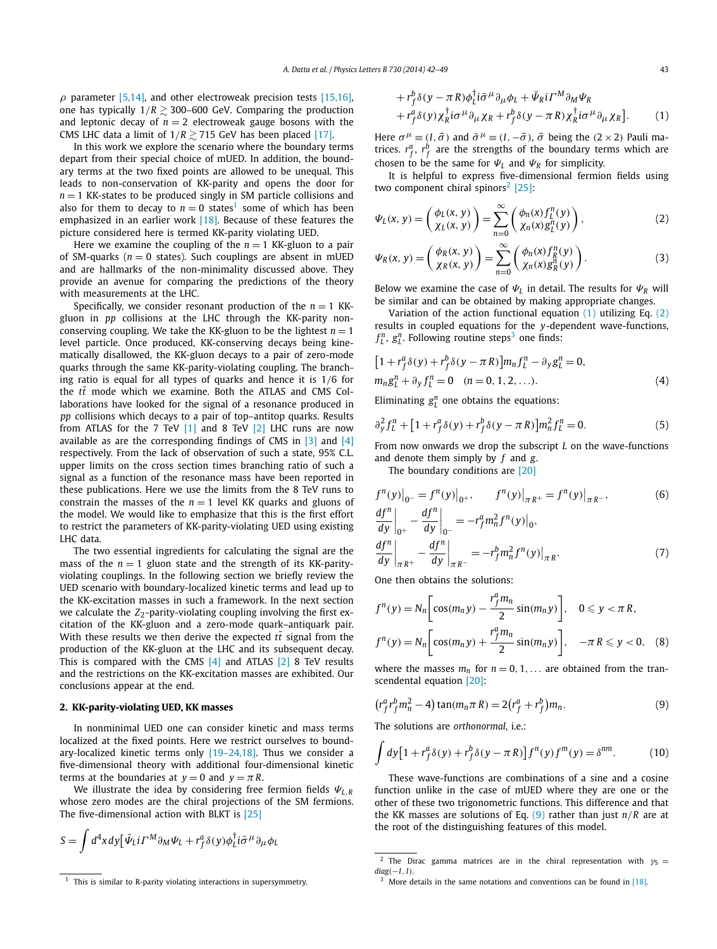<span id="page-1-0"></span> $\rho$  parameter [\[5,14\],](#page-6-0) and other electroweak precision tests [\[15,16\],](#page-7-0) one has typically  $1/R \gtrsim$  300–600 GeV. Comparing the production and leptonic decay of  $n = 2$  electroweak gauge bosons with the CMS LHC data a limit of  $1/R \gtrsim$  715 GeV has been placed [\[17\].](#page-7-0)

In this work we explore the scenario where the boundary terms depart from their special choice of mUED. In addition, the boundary terms at the two fixed points are allowed to be unequal. This leads to non-conservation of KK-parity and opens the door for  $n = 1$  KK-states to be produced singly in SM particle collisions and also for them to decay to  $n = 0$  states<sup>1</sup> some of which has been emphasized in an earlier work [\[18\].](#page-7-0) Because of these features the picture considered here is termed KK-parity violating UED.

Here we examine the coupling of the  $n = 1$  KK-gluon to a pair of SM-quarks ( $n = 0$  states). Such couplings are absent in mUED and are hallmarks of the non-minimality discussed above. They provide an avenue for comparing the predictions of the theory with measurements at the LHC.

Specifically, we consider resonant production of the  $n = 1$  KKgluon in *pp* collisions at the LHC through the KK-parity nonconserving coupling. We take the KK-gluon to be the lightest  $n = 1$ level particle. Once produced, KK-conserving decays being kinematically disallowed, the KK-gluon decays to a pair of zero-mode quarks through the same KK-parity-violating coupling. The branching ratio is equal for all types of quarks and hence it is 1*/*6 for the  $t\bar{t}$  mode which we examine. Both the ATLAS and CMS Collaborations have looked for the signal of a resonance produced in *pp* collisions which decays to a pair of top–antitop quarks. Results from ATLAS for the 7 TeV [\[1\]](#page-6-0) and 8 TeV [\[2\]](#page-6-0) LHC runs are now available as are the corresponding findings of CMS in [\[3\]](#page-6-0) and [\[4\]](#page-6-0) respectively. From the lack of observation of such a state, 95% C.L. upper limits on the cross section times branching ratio of such a signal as a function of the resonance mass have been reported in these publications. Here we use the limits from the 8 TeV runs to constrain the masses of the  $n = 1$  level KK quarks and gluons of the model. We would like to emphasize that this is the first effort to restrict the parameters of KK-parity-violating UED using existing LHC data.

The two essential ingredients for calculating the signal are the mass of the  $n = 1$  gluon state and the strength of its KK-parityviolating couplings. In the following section we briefly review the UED scenario with boundary-localized kinetic terms and lead up to the KK-excitation masses in such a framework. In the next section we calculate the  $Z_2$ -parity-violating coupling involving the first excitation of the KK-gluon and a zero-mode quark–antiquark pair. With these results we then derive the expected *tt* signal from the production of the KK-gluon at the LHC and its subsequent decay. This is compared with the CMS [\[4\]](#page-6-0) and ATLAS [\[2\]](#page-6-0) 8 TeV results and the restrictions on the KK-excitation masses are exhibited. Our conclusions appear at the end.

# **2. KK-parity-violating UED, KK masses**

In nonminimal UED one can consider kinetic and mass terms localized at the fixed points. Here we restrict ourselves to boundary-localized kinetic terms only [\[19–24,18\].](#page-7-0) Thus we consider a five-dimensional theory with additional four-dimensional kinetic terms at the boundaries at  $y = 0$  and  $y = \pi R$ .

We illustrate the idea by considering free fermion fields *ΨL,<sup>R</sup>* whose zero modes are the chiral projections of the SM fermions. The five-dimensional action with BLKT is [\[25\]](#page-7-0)

$$
S = \int d^4x dy \left[ \bar{\Psi}_L i \Gamma^M \partial_M \Psi_L + r_f^a \delta(y) \phi_L^\dagger i \bar{\sigma}^\mu \partial_\mu \phi_L \right]
$$

$$
+ r_f^b \delta(y - \pi R) \phi_L^{\dagger} i \bar{\sigma}^\mu \partial_\mu \phi_L + \bar{\Psi}_R i \Gamma^M \partial_M \Psi_R + r_f^a \delta(y) \chi_R^{\dagger} i \sigma^\mu \partial_\mu \chi_R + r_f^b \delta(y - \pi R) \chi_R^{\dagger} i \sigma^\mu \partial_\mu \chi_R].
$$
 (1)

Here  $\sigma^{\mu} \equiv (I, \vec{\sigma})$  and  $\bar{\sigma}^{\mu} \equiv (I, -\vec{\sigma})$ ,  $\vec{\sigma}$  being the  $(2 \times 2)$  Pauli matrices.  $r_f^a$ ,  $r_f^b$  are the strengths of the boundary terms which are chosen to be the same for  $\Psi_L$  and  $\Psi_R$  for simplicity.

It is helpful to express five-dimensional fermion fields using two component chiral spinors<sup>2</sup> [25]:

$$
\Psi_L(x, y) = \begin{pmatrix} \phi_L(x, y) \\ \chi_L(x, y) \end{pmatrix} = \sum_{n=0}^{\infty} \begin{pmatrix} \phi_n(x) f_L^n(y) \\ \chi_n(x) g_L^n(y) \end{pmatrix},
$$
\n(2)

$$
\Psi_R(x, y) = \begin{pmatrix} \phi_R(x, y) \\ \chi_R(x, y) \end{pmatrix} = \sum_{n=0}^{\infty} \begin{pmatrix} \phi_n(x) f_R^n(y) \\ \chi_n(x) g_R^n(y) \end{pmatrix}.
$$
 (3)

Below we examine the case of  $\Psi_L$  in detail. The results for  $\Psi_R$  will be similar and can be obtained by making appropriate changes.

Variation of the action functional equation  $(1)$  utilizing Eq.  $(2)$ results in coupled equations for the *y*-dependent wave-functions,  $f_L^n$ ,  $g_L^n$ . Following routine steps<sup>3</sup> one finds:

$$
[1 + r_f^a \delta(y) + r_f^b \delta(y - \pi R)] m_n f_L^n - \partial_y g_L^n = 0,
$$
  
\n
$$
m_n g_L^n + \partial_y f_L^n = 0 \quad (n = 0, 1, 2, ...).
$$
\n(4)

Eliminating  $g_L^n$  one obtains the equations:

$$
\partial_y^2 f_L^n + [1 + r_f^a \delta(y) + r_f^b \delta(y - \pi R)] m_n^2 f_L^n = 0.
$$
 (5)

From now onwards we drop the subscript *L* on the wave-functions and denote them simply by *f* and *g*.

The boundary conditions are [\[20\]](#page-7-0)

$$
f^{n}(y)|_{0^{-}} = f^{n}(y)|_{0^{+}}, \t f^{n}(y)|_{\pi R^{+}} = f^{n}(y)|_{\pi R^{-}},
$$
\n(6)  
\n
$$
\frac{df^{n}}{dy}|_{0^{+}} - \frac{df^{n}}{dy}|_{0^{-}} = -r_{f}^{a} m_{n}^{2} f^{n}(y)|_{0},
$$
\n
$$
\frac{df^{n}}{dy}|_{\pi R^{+}} - \frac{df^{n}}{dy}|_{\pi R^{-}} = -r_{f}^{b} m_{n}^{2} f^{n}(y)|_{\pi R}.
$$
\n(7)

One then obtains the solutions:

$$
f^{n}(y) = N_{n} \left[ \cos(m_{n}y) - \frac{r_{f}^{a}m_{n}}{2} \sin(m_{n}y) \right], \quad 0 \leq y < \pi R,
$$
  

$$
f^{n}(y) = N_{n} \left[ \cos(m_{n}y) + \frac{r_{f}^{a}m_{n}}{2} \sin(m_{n}y) \right], \quad -\pi R \leq y < 0, \quad (8)
$$

where the masses  $m_n$  for  $n = 0, 1, \ldots$  are obtained from the transcendental equation [\[20\]:](#page-7-0)

$$
(r_f^a r_f^b m_n^2 - 4) \tan(m_n \pi R) = 2(r_f^a + r_f^b) m_n.
$$
 (9)

The solutions are *orthonormal*, i.e.:

$$
\int dy \left[1 + r_f^a \delta(y) + r_f^b \delta(y - \pi R)\right] f^n(y) f^m(y) = \delta^{nm}.\tag{10}
$$

These wave-functions are combinations of a sine and a cosine function unlike in the case of mUED where they are one or the other of these two trigonometric functions. This difference and that the KK masses are solutions of Eq. (9) rather than just  $n/R$  are at the root of the distinguishing features of this model.

 $1$  This is similar to R-parity violating interactions in supersymmetry.

<sup>&</sup>lt;sup>2</sup> The Dirac gamma matrices are in the chiral representation with  $\gamma_5 =$ *diag(*−*I, I)*.

 $3$  More details in the same notations and conventions can be found in [\[18\].](#page-7-0)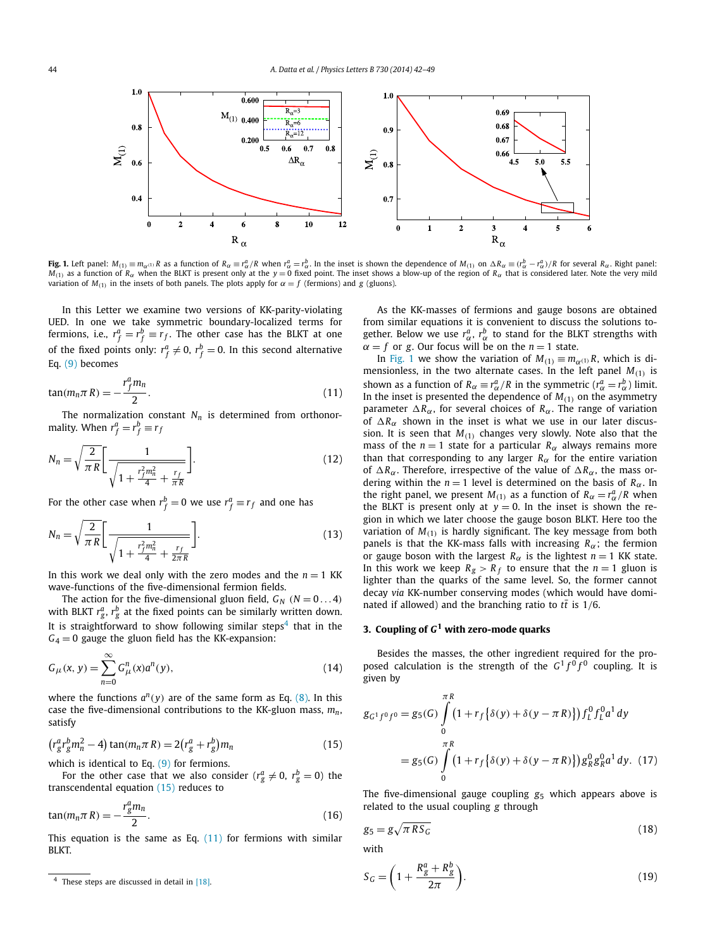<span id="page-2-0"></span>

**Fig. 1.** Left panel:  $M_{(1)} \equiv m_{\alpha^{(1)}} R$  as a function of  $R_{\alpha} \equiv r_{\alpha}^a/R$  when  $r_{\alpha}^a = r_{\alpha}^b$ . In the inset is shown the dependence of  $M_{(1)}$  on  $\Delta R_{\alpha} \equiv (r_{\alpha}^b - r_{\alpha}^a)/R$  for several  $R_{\alpha}$ . Right panel:  $M_{(1)}$  as a function of  $R_{\alpha}$  when the BLKT is present only at the  $y = 0$  fixed point. The inset shows a blow-up of the region of  $R_{\alpha}$  that is considered later. Note the very mild variation of  $M_{(1)}$  in the insets of both panels. The plots apply for  $\alpha = f$  (fermions) and *g* (gluons).

In this Letter we examine two versions of KK-parity-violating UED. In one we take symmetric boundary-localized terms for fermions, i.e.,  $r_f^a = r_f^b \equiv r_f$ . The other case has the BLKT at one of the fixed points only:  $r^a_f \neq 0$ ,  $r^b_f = 0$ . In this second alternative Eq. [\(9\)](#page-1-0) becomes

$$
\tan(m_n \pi R) = -\frac{r_f^a m_n}{2}.\tag{11}
$$

The normalization constant  $N_n$  is determined from orthonormality. When  $r_f^a = r_f^b \equiv r_f$ 

$$
N_n = \sqrt{\frac{2}{\pi R}} \left[ \frac{1}{\sqrt{1 + \frac{r_f^2 m_n^2}{4} + \frac{r_f}{\pi R}}} \right].
$$
 (12)

For the other case when  $r_f^b = 0$  we use  $r_f^a \equiv r_f$  and one has

$$
N_n = \sqrt{\frac{2}{\pi R}} \left[ \frac{1}{\sqrt{1 + \frac{r_f^2 m_n^2}{4} + \frac{r_f}{2\pi R}}} \right].
$$
 (13)

In this work we deal only with the zero modes and the  $n = 1$  KK wave-functions of the five-dimensional fermion fields.

The action for the five-dimensional gluon field,  $G_N$   $(N = 0...4)$ with BLKT  $r_{g}^{a}, r_{g}^{b}$  at the fixed points can be similarly written down. It is straightforward to show following similar steps<sup>4</sup> that in the  $G_4 = 0$  gauge the gluon field has the KK-expansion:

$$
G_{\mu}(x, y) = \sum_{n=0}^{\infty} G_{\mu}^{n}(x) a^{n}(y),
$$
\n(14)

where the functions  $a^n(y)$  are of the same form as Eq. [\(8\).](#page-1-0) In this case the five-dimensional contributions to the KK-gluon mass,  $m_n$ , satisfy

$$
(r_g^a r_g^b m_n^2 - 4) \tan(m_n \pi R) = 2(r_g^a + r_g^b) m_n
$$
 (15)

which is identical to Eq. [\(9\)](#page-1-0) for fermions.

For the other case that we also consider ( $r_g^a \neq 0$ ,  $r_g^b = 0$ ) the transcendental equation (15) reduces to

$$
\tan(m_n \pi R) = -\frac{r_g^a m_n}{2}.
$$
\n(16)

This equation is the same as Eq.  $(11)$  for fermions with similar BLKT.

As the KK-masses of fermions and gauge bosons are obtained from similar equations it is convenient to discuss the solutions together. Below we use  $r^a_\alpha$ ,  $r^b_\alpha$  to stand for the BLKT strengths with  $\alpha = f$  or *g*. Our focus will be on the *n* = 1 state.

In Fig. 1 we show the variation of  $M_{(1)} \equiv m_{\alpha^{(1)}} R$ , which is dimensionless, in the two alternate cases. In the left panel  $M_{(1)}$  is shown as a function of  $R_{\alpha} \equiv r_{\alpha}^a / R$  in the symmetric ( $r_{\alpha}^a = r_{\alpha}^b$ ) limit. In the inset is presented the dependence of  $M_{(1)}$  on the asymmetry parameter  $\Delta R_{\alpha}$ , for several choices of  $R_{\alpha}$ . The range of variation of  $\Delta R_{\alpha}$  shown in the inset is what we use in our later discussion. It is seen that  $M_{(1)}$  changes very slowly. Note also that the mass of the  $n = 1$  state for a particular  $R_\alpha$  always remains more than that corresponding to any larger  $R_\alpha$  for the entire variation of  $\Delta R_{\alpha}$ . Therefore, irrespective of the value of  $\Delta R_{\alpha}$ , the mass ordering within the  $n = 1$  level is determined on the basis of  $R_\alpha$ . In the right panel, we present  $M_{(1)}$  as a function of  $R_{\alpha} = r_{\alpha}^a/R$  when the BLKT is present only at  $y = 0$ . In the inset is shown the region in which we later choose the gauge boson BLKT. Here too the variation of  $M_{(1)}$  is hardly significant. The key message from both panels is that the KK-mass falls with increasing *Rα*; the fermion or gauge boson with the largest  $R_\alpha$  is the lightest  $n = 1$  KK state. In this work we keep  $R_g > R_f$  to ensure that the  $n = 1$  gluon is lighter than the quarks of the same level. So, the former cannot decay *via* KK-number conserving modes (which would have dominated if allowed) and the branching ratio to  $t\bar{t}$  is 1/6.

# **3. Coupling of** *G***<sup>1</sup> with zero-mode quarks**

Besides the masses, the other ingredient required for the proposed calculation is the strength of the  $G^1 f^0 f^0$  coupling. It is given by

$$
g_{G^1 f^0 f^0} = g_5(G) \int_{0}^{\pi R} (1 + r_f \{\delta(y) + \delta(y - \pi R)\}) f_L^0 f_L^0 a^1 dy
$$
  
=  $g_5(G) \int_{0}^{\pi R} (1 + r_f \{\delta(y) + \delta(y - \pi R)\}) g_R^0 g_R^0 a^1 dy$ . (17)

The five-dimensional gauge coupling *g*<sup>5</sup> which appears above is related to the usual coupling *g* through

$$
g_5 = g\sqrt{\pi R S_G} \tag{18}
$$

with

 $S$ 

$$
G = \left(1 + \frac{R_g^a + R_g^b}{2\pi}\right). \tag{19}
$$

<sup>4</sup> These steps are discussed in detail in [\[18\].](#page-7-0)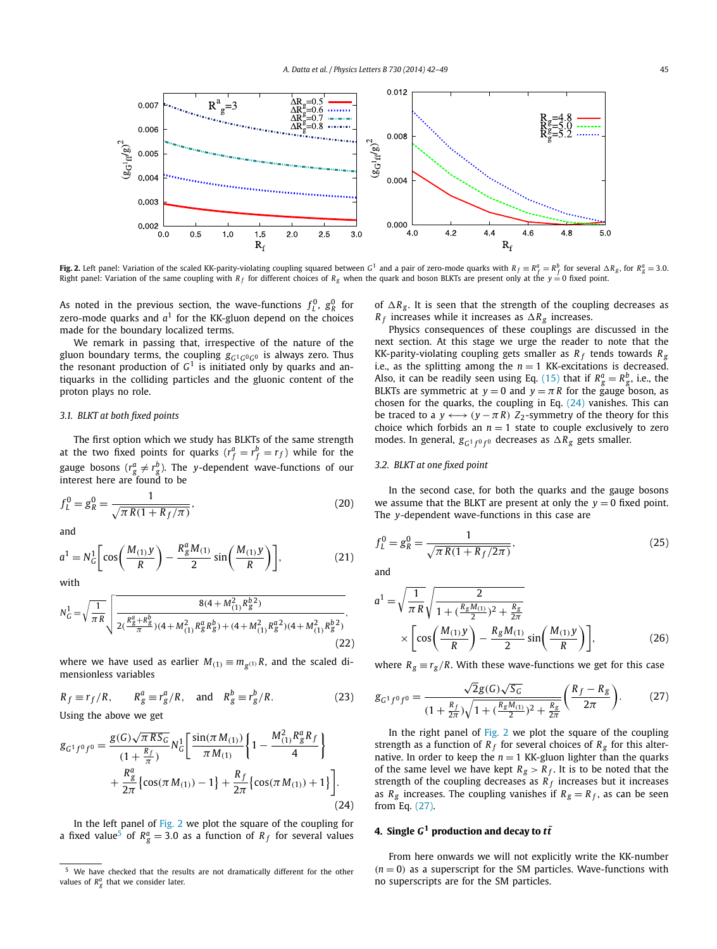<span id="page-3-0"></span>

**Fig. 2.** Left panel: Variation of the scaled KK-parity-violating coupling squared between  $G^1$  and a pair of zero-mode quarks with  $R_f\equiv R_f^a=R_f^b$  for several  $\Delta R_g$ , for  $R_g^a=3.0$ . Right panel: Variation of the same coupling with *R*<sub>f</sub> for different choices of *R<sub>g</sub>* when the quark and boson BLKTs are present only at the *y* = 0 fixed point.

As noted in the previous section, the wave-functions  $f_L^0$ ,  $g_R^0$  for zero-mode quarks and  $a<sup>1</sup>$  for the KK-gluon depend on the choices made for the boundary localized terms.

We remark in passing that, irrespective of the nature of the gluon boundary terms, the coupling  $g_{G^1G^0G^0}$  is always zero. Thus the resonant production of  $G<sup>1</sup>$  is initiated only by quarks and antiquarks in the colliding particles and the gluonic content of the proton plays no role.

# *3.1. BLKT at both fixed points*

The first option which we study has BLKTs of the same strength at the two fixed points for quarks  $(r_f^a = r_f^b = r_f)$  while for the gauge bosons ( $r_g^a \neq r_g^b$ ). The *y*-dependent wave-functions of our interest here are found to be

$$
f_L^0 = g_R^0 = \frac{1}{\sqrt{\pi R (1 + R_f/\pi)}},\tag{20}
$$

and

$$
a^{1} = N_{G}^{1} \bigg[ \cos \bigg( \frac{M_{(1)} y}{R} \bigg) - \frac{R_{g}^{a} M_{(1)}}{2} \sin \bigg( \frac{M_{(1)} y}{R} \bigg) \bigg],
$$
 (21)

with

$$
N_G^1 = \sqrt{\frac{1}{\pi R}} \sqrt{\frac{8(4 + M_{(1)}^2 R_g^{b2})}{2(\frac{R_g^a + R_g^b}{\pi})(4 + M_{(1)}^2 R_g^a R_g^b) + (4 + M_{(1)}^2 R_g^{a2})(4 + M_{(1)}^2 R_g^{b2})}},
$$
\n(22)

where we have used as earlier  $M_{(1)} \equiv m_{g^{(1)}} R$ , and the scaled dimensionless variables

$$
R_f \equiv r_f/R
$$
,  $R_g^a \equiv r_g^a/R$ , and  $R_g^b \equiv r_g^b/R$ . (23)

Using the above we get

$$
g_{G^1 f^0 f^0} = \frac{g(G)\sqrt{\pi RS_G}}{(1 + \frac{R_f}{\pi})} N_G^1 \left[ \frac{\sin(\pi M_{(1)})}{\pi M_{(1)}} \left\{ 1 - \frac{M_{(1)}^2 R_g^a R_f}{4} \right\} + \frac{R_g^a}{2\pi} \left\{ \cos(\pi M_{(1)}) - 1 \right\} + \frac{R_f}{2\pi} \left\{ \cos(\pi M_{(1)}) + 1 \right\} \right].
$$
\n(24)

In the left panel of Fig. 2 we plot the square of the coupling for a fixed value<sup>5</sup> of  $R_g^a = 3.0$  as a function of  $R_f$  for several values

of  $\Delta R_g$ . It is seen that the strength of the coupling decreases as  $R_f$  increases while it increases as  $\Delta R_g$  increases.

Physics consequences of these couplings are discussed in the next section. At this stage we urge the reader to note that the KK-parity-violating coupling gets smaller as  $R_f$  tends towards  $R_g$ i.e., as the splitting among the  $n = 1$  KK-excitations is decreased. Also, it can be readily seen using Eq. [\(15\)](#page-2-0) that if  $R_g^a = R_g^b$ , i.e., the BLKTs are symmetric at  $y = 0$  and  $y = \pi R$  for the gauge boson, as chosen for the quarks, the coupling in Eq.  $(24)$  vanishes. This can be traced to a  $y \leftrightarrow (y - \pi R)$  *Z*<sub>2</sub>-symmetry of the theory for this choice which forbids an  $n = 1$  state to couple exclusively to zero modes. In general,  $g_{G^1 f^0 f^0}$  decreases as  $\Delta R_g$  gets smaller.

#### *3.2. BLKT at one fixed point*

In the second case, for both the quarks and the gauge bosons we assume that the BLKT are present at only the  $y = 0$  fixed point. The *y*-dependent wave-functions in this case are

$$
f_L^0 = g_R^0 = \frac{1}{\sqrt{\pi R (1 + R_f / 2\pi)}},\tag{25}
$$

and

$$
a^{1} = \sqrt{\frac{1}{\pi R}} \sqrt{\frac{2}{1 + (\frac{R_{g}M_{(1)}}{2})^{2} + \frac{R_{g}}{2\pi}}}
$$

$$
\times \left[ \cos\left(\frac{M_{(1)}y}{R}\right) - \frac{R_{g}M_{(1)}}{2} \sin\left(\frac{M_{(1)}y}{R}\right) \right],
$$
(26)

where  $R_g \equiv r_g/R$ . With these wave-functions we get for this case

$$
g_{G^1 f^0 f^0} = \frac{\sqrt{2}g(G)\sqrt{S_G}}{(1 + \frac{R_f}{2\pi})\sqrt{1 + (\frac{R_g M_{(1)}}{2})^2 + \frac{R_g}{2\pi}}} \left(\frac{R_f - R_g}{2\pi}\right). \tag{27}
$$

In the right panel of Fig. 2 we plot the square of the coupling strength as a function of  $R_f$  for several choices of  $R_g$  for this alternative. In order to keep the  $n = 1$  KK-gluon lighter than the quarks of the same level we have kept  $R_g > R_f$ . It is to be noted that the strength of the coupling decreases as  $\overline{R}_f$  increases but it increases as  $R_g$  increases. The coupling vanishes if  $R_g = R_f$ , as can be seen from Eq. (27).

### **4.** Single  $G^1$  production and decay to  $t\bar{t}$

From here onwards we will not explicitly write the KK-number  $(n = 0)$  as a superscript for the SM particles. Wave-functions with no superscripts are for the SM particles.

We have checked that the results are not dramatically different for the other values of  $R_g^a$  that we consider later.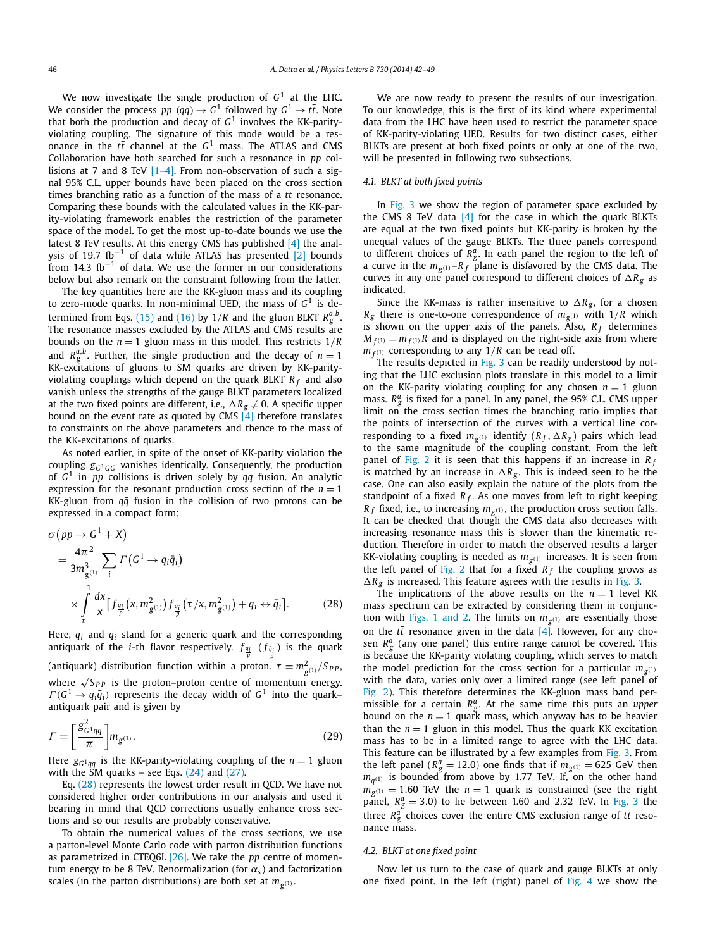We now investigate the single production of *G*<sup>1</sup> at the LHC. We consider the process *pp*  $(q\bar{q}) \rightarrow G^1$  followed by  $G^1 \rightarrow t\bar{t}$ . Note that both the production and decay of *G*<sup>1</sup> involves the KK-parityviolating coupling. The signature of this mode would be a resonance in the *tt* channel at the *G*<sup>1</sup> mass. The ATLAS and CMS Collaboration have both searched for such a resonance in *pp* collisions at 7 and 8 TeV [\[1–4\].](#page-6-0) From non-observation of such a signal 95% C.L. upper bounds have been placed on the cross section times branching ratio as a function of the mass of a  $t\bar{t}$  resonance. Comparing these bounds with the calculated values in the KK-parity-violating framework enables the restriction of the parameter space of the model. To get the most up-to-date bounds we use the latest 8 TeV results. At this energy CMS has published [\[4\]](#page-6-0) the anal-ysis of 19.7 fb<sup>-1</sup> of data while ATLAS has presented [\[2\]](#page-6-0) bounds from 14.3  $fb^{-1}$  of data. We use the former in our considerations below but also remark on the constraint following from the latter.

The key quantities here are the KK-gluon mass and its coupling to zero-mode quarks. In non-minimal UED, the mass of  $G<sup>1</sup>$  is de-termined from Eqs. [\(15\)](#page-2-0) and [\(16\)](#page-2-0) by  $1/R$  and the gluon BLKT  $R_g^{a,b}$ . The resonance masses excluded by the ATLAS and CMS results are bounds on the  $n = 1$  gluon mass in this model. This restricts  $1/R$ and  $R_g^{a,b}$ . Further, the single production and the decay of  $n = 1$ KK-excitations of gluons to SM quarks are driven by KK-parityviolating couplings which depend on the quark BLKT *R <sup>f</sup>* and also vanish unless the strengths of the gauge BLKT parameters localized at the two fixed points are different, i.e.,  $\Delta R_g \neq 0$ . A specific upper bound on the event rate as quoted by CMS  $\left[4\right]$  therefore translates to constraints on the above parameters and thence to the mass of the KK-excitations of quarks.

As noted earlier, in spite of the onset of KK-parity violation the coupling  $g_{G^1GG}$  vanishes identically. Consequently, the production of  $G^1$  in *pp* collisions is driven solely by  $q\bar{q}$  fusion. An analytic expression for the resonant production cross section of the  $n = 1$ KK-gluon from  $q\bar{q}$  fusion in the collision of two protons can be expressed in a compact form:

$$
\sigma(pp \to G^{1} + X)
$$
\n
$$
= \frac{4\pi^{2}}{3m_{g^{(1)}}^{3}} \sum_{i} \Gamma(G^{1} \to q_{i}\bar{q}_{i})
$$
\n
$$
\times \int_{\tau}^{1} \frac{dx}{x} \Big[ f_{\frac{q_{i}}{p}}(x, m_{g^{(1)}}^{2}) f_{\frac{\bar{q}_{i}}{p}}(\tau/x, m_{g^{(1)}}^{2}) + q_{i} \leftrightarrow \bar{q}_{i} \Big].
$$
\n(28)

Here,  $q_i$  and  $\bar{q}_i$  stand for a generic quark and the corresponding antiquark of the *i*-th flavor respectively.  $f_{\frac{q_i}{p}}(f_{\frac{\tilde{q}_i}{p}})$  is the quark (antiquark) distribution function within a proton.  $\tau \equiv m_{g^{(1)}}^2 / S_{PP}$ , where  $\sqrt{S_{PP}}$  is the proton–proton centre of momentum energy.  $\Gamma$ ( $G$ <sup>1</sup>  $\rightarrow$   $q_i\bar{q}_i$ ) represents the decay width of  $G$ <sup>1</sup> into the quark– antiquark pair and is given by

$$
\Gamma = \left[\frac{g_{G^1qq}^2}{\pi}\right] m_{g^{(1)}}.
$$
\n(29)

Here  $g_{G^1qq}$  is the KK-parity-violating coupling of the  $n=1$  gluon with the SM quarks – see Eqs.  $(24)$  and  $(27)$ .

Eq. (28) represents the lowest order result in QCD. We have not considered higher order contributions in our analysis and used it bearing in mind that QCD corrections usually enhance cross sections and so our results are probably conservative.

To obtain the numerical values of the cross sections, we use a parton-level Monte Carlo code with parton distribution functions as parametrized in CTEQ6L [\[26\].](#page-7-0) We take the *pp* centre of momentum energy to be 8 TeV. Renormalization (for  $\alpha_s$ ) and factorization scales (in the parton distributions) are both set at  $m_{\sigma(1)}$ .

We are now ready to present the results of our investigation. To our knowledge, this is the first of its kind where experimental data from the LHC have been used to restrict the parameter space of KK-parity-violating UED. Results for two distinct cases, either BLKTs are present at both fixed points or only at one of the two, will be presented in following two subsections.

### *4.1. BLKT at both fixed points*

In [Fig. 3](#page-5-0) we show the region of parameter space excluded by the CMS 8 TeV data  $[4]$  for the case in which the quark BLKTs are equal at the two fixed points but KK-parity is broken by the unequal values of the gauge BLKTs. The three panels correspond to different choices of  $R_g^a$ . In each panel the region to the left of a curve in the  $m_{g^{(1)}} - R_f$  plane is disfavored by the CMS data. The curves in any one panel correspond to different choices of  $\Delta R_g$  as indicated.

Since the KK-mass is rather insensitive to  $\Delta R_g$ , for a chosen  $R_g$  there is one-to-one correspondence of  $m_{g^{(1)}}$  with  $1/R$  which is shown on the upper axis of the panels. Also,  $R_f$  determines  $M_{f(1)} = m_{f(1)}R$  and is displayed on the right-side axis from where  $m_{f^{(1)}}$  corresponding to any  $1/R$  can be read off.

The results depicted in [Fig. 3](#page-5-0) can be readily understood by noting that the LHC exclusion plots translate in this model to a limit on the KK-parity violating coupling for any chosen  $n = 1$  gluon mass. *R<sup>a</sup> <sup>g</sup>* is fixed for a panel. In any panel, the 95% C.L. CMS upper limit on the cross section times the branching ratio implies that the points of intersection of the curves with a vertical line corresponding to a fixed  $m_{g^{(1)}}$  identify  $(R_f, \Delta R_g)$  pairs which lead to the same magnitude of the coupling constant. From the left panel of [Fig. 2](#page-3-0) it is seen that this happens if an increase in *R <sup>f</sup>* is matched by an increase in  $\Delta R_g$ . This is indeed seen to be the case. One can also easily explain the nature of the plots from the standpoint of a fixed  $R_f$ . As one moves from left to right keeping  $R_f$  fixed, i.e., to increasing  $m_{g^{(1)}}$ , the production cross section falls. It can be checked that though the CMS data also decreases with increasing resonance mass this is slower than the kinematic reduction. Therefore in order to match the observed results a larger KK-violating coupling is needed as  $m_{\sigma(1)}$  increases. It is seen from the left panel of [Fig. 2](#page-3-0) that for a fixed  $R_f$  the coupling grows as  $\Delta R_g$  is increased. This feature agrees with the results in [Fig. 3.](#page-5-0)

The implications of the above results on the  $n = 1$  level KK mass spectrum can be extracted by considering them in conjunc-tion with [Figs. 1 and 2.](#page-2-0) The limits on  $m_{g^{(1)}}$  are essentially those on the  $t\bar{t}$  resonance given in the data  $[4]$ . However, for any chosen  $R_g^a$  (any one panel) this entire range cannot be covered. This is because the KK-parity violating coupling, which serves to match the model prediction for the cross section for a particular  $m_{g(1)}$ with the data, varies only over a limited range (see left panel of [Fig. 2\)](#page-3-0). This therefore determines the KK-gluon mass band permissible for a certain  $R_g^a$ . At the same time this puts an *upper* bound on the  $n = 1$  quark mass, which anyway has to be heavier than the  $n = 1$  gluon in this model. Thus the quark KK excitation mass has to be in a limited range to agree with the LHC data. This feature can be illustrated by a few examples from [Fig. 3.](#page-5-0) From the left panel ( $R_g^a$  = 12.0) one finds that if  $m_{g^{(1)}}$  = 625 GeV then *mq(*1*)* is bounded from above by 1.77 TeV. If, on the other hand  $m_{g^{(1)}} = 1.60$  TeV the  $n = 1$  quark is constrained (see the right panel,  $R_g^a = 3.0$ ) to lie between 1.60 and 2.32 TeV. In [Fig. 3](#page-5-0) the three  $R_g^a$  choices cover the entire CMS exclusion range of  $t\bar{t}$  resonance mass.

#### *4.2. BLKT at one fixed point*

Now let us turn to the case of quark and gauge BLKTs at only one fixed point. In the left (right) panel of [Fig. 4](#page-5-0) we show the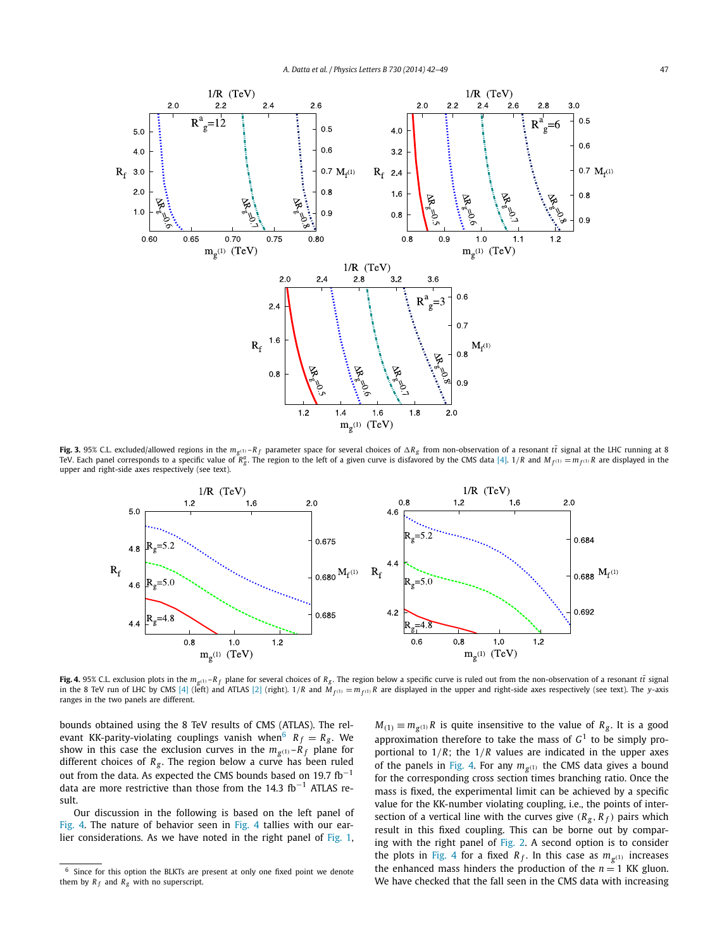<span id="page-5-0"></span>

Fig. 3. 95% C.L. excluded/allowed regions in the  $m_{\sigma^{(1)}} - R_f$  parameter space for several choices of  $\Delta R_g$  from non-observation of a resonant tt signal at the LHC running at 8 TeV. Each panel corresponds to a specific value of  $\breve{R}_{g}^a$ . The region to the left of a given curve is disfavored by the CMS data [\[4\].](#page-6-0) 1/R and  $M_{f^{(1)}}=m_{f^{(1)}}R$  are displayed in the upper and right-side axes respectively (see text).



Fig. 4. 95% C.L. exclusion plots in the  $m_{g^{(1)}} - R_f$  plane for several choices of  $R_g$ . The region below a specific curve is ruled out from the non-observation of a resonant tt signal in the 8 TeV run of LHC by CMS [\[4\]](#page-6-0) (left) and ATLAS [\[2\]](#page-6-0) (right). 1/R and  $M_{f^{(1)}} = m_{f^{(1)}}R$  are displayed in the upper and right-side axes respectively (see text). The y-axis ranges in the two panels are different.

bounds obtained using the 8 TeV results of CMS (ATLAS). The relevant KK-parity-violating couplings vanish when<sup>6</sup>  $R_f = R_g$ . We show in this case the exclusion curves in the  $m_{g(1)}$ – $R_f$  plane for different choices of  $R_g$ . The region below a curve has been ruled out from the data. As expected the CMS bounds based on 19.7  $fb^{-1}$ data are more restrictive than those from the 14.3  $fb^{-1}$  ATLAS result.

Our discussion in the following is based on the left panel of Fig. 4. The nature of behavior seen in Fig. 4 tallies with our earlier considerations. As we have noted in the right panel of [Fig. 1,](#page-2-0)  $M_{(1)} \equiv m_{g^{(1)}} R$  is quite insensitive to the value of  $R_g$ . It is a good approximation therefore to take the mass of  $G<sup>1</sup>$  to be simply proportional to 1*/R*; the 1*/R* values are indicated in the upper axes of the panels in Fig. 4. For any  $m_{g^{(1)}}$  the CMS data gives a bound for the corresponding cross section times branching ratio. Once the mass is fixed, the experimental limit can be achieved by a specific value for the KK-number violating coupling, i.e., the points of intersection of a vertical line with the curves give  $(R_g, R_f)$  pairs which result in this fixed coupling. This can be borne out by comparing with the right panel of [Fig. 2.](#page-3-0) A second option is to consider the plots in Fig. 4 for a fixed  $R_f$ . In this case as  $m_{g(1)}$  increases the enhanced mass hinders the production of the  $n = 1$  KK gluon. We have checked that the fall seen in the CMS data with increasing

<sup>6</sup> Since for this option the BLKTs are present at only one fixed point we denote them by  $R_f$  and  $R_g$  with no superscript.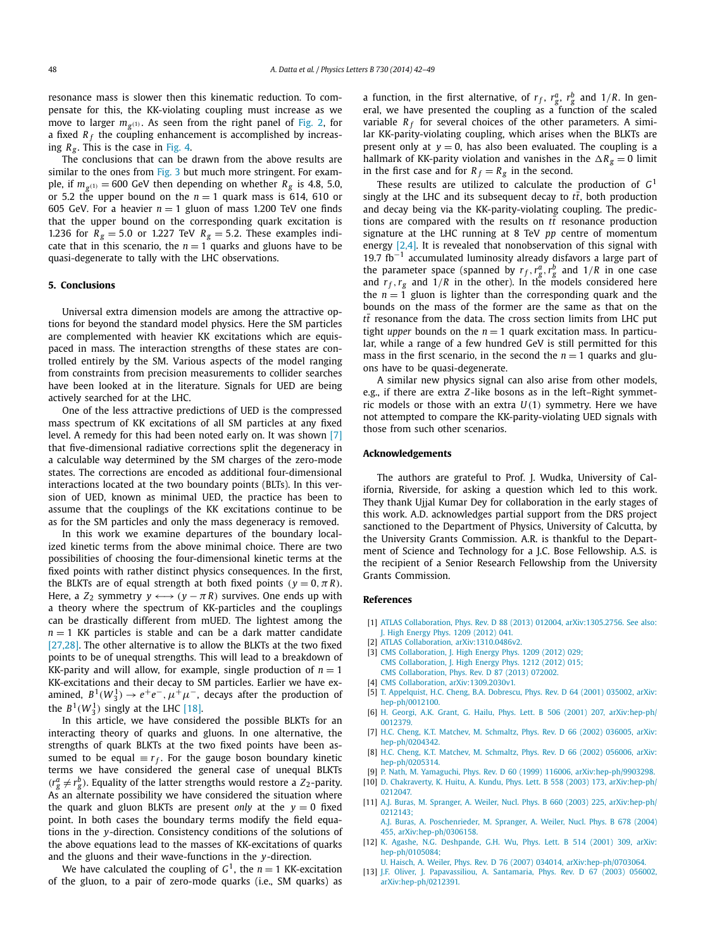<span id="page-6-0"></span>resonance mass is slower then this kinematic reduction. To compensate for this, the KK-violating coupling must increase as we move to larger  $m_{g(1)}$ . As seen from the right panel of [Fig. 2,](#page-3-0) for a fixed  $R_f$  the coupling enhancement is accomplished by increasing  $R_g$ . This is the case in [Fig. 4.](#page-5-0)

The conclusions that can be drawn from the above results are similar to the ones from [Fig. 3](#page-5-0) but much more stringent. For example, if  $m_{\varphi(1)} = 600$  GeV then depending on whether  $R_g$  is 4.8, 5.0, or 5.2 the upper bound on the  $n = 1$  quark mass is 614, 610 or 605 GeV. For a heavier  $n = 1$  gluon of mass 1.200 TeV one finds that the upper bound on the corresponding quark excitation is 1.236 for  $R_g = 5.0$  or 1.227 TeV  $R_g = 5.2$ . These examples indicate that in this scenario, the  $n = 1$  quarks and gluons have to be quasi-degenerate to tally with the LHC observations.

# **5. Conclusions**

Universal extra dimension models are among the attractive options for beyond the standard model physics. Here the SM particles are complemented with heavier KK excitations which are equispaced in mass. The interaction strengths of these states are controlled entirely by the SM. Various aspects of the model ranging from constraints from precision measurements to collider searches have been looked at in the literature. Signals for UED are being actively searched for at the LHC.

One of the less attractive predictions of UED is the compressed mass spectrum of KK excitations of all SM particles at any fixed level. A remedy for this had been noted early on. It was shown [7] that five-dimensional radiative corrections split the degeneracy in a calculable way determined by the SM charges of the zero-mode states. The corrections are encoded as additional four-dimensional interactions located at the two boundary points (BLTs). In this version of UED, known as minimal UED, the practice has been to assume that the couplings of the KK excitations continue to be as for the SM particles and only the mass degeneracy is removed.

In this work we examine departures of the boundary localized kinetic terms from the above minimal choice. There are two possibilities of choosing the four-dimensional kinetic terms at the fixed points with rather distinct physics consequences. In the first, the BLKTs are of equal strength at both fixed points  $(y = 0, \pi R)$ . Here, a  $Z_2$  symmetry  $y \leftrightarrow (y - \pi R)$  survives. One ends up with a theory where the spectrum of KK-particles and the couplings can be drastically different from mUED. The lightest among the  $n = 1$  KK particles is stable and can be a dark matter candidate [\[27,28\].](#page-7-0) The other alternative is to allow the BLKTs at the two fixed points to be of unequal strengths. This will lead to a breakdown of KK-parity and will allow, for example, single production of  $n = 1$ KK-excitations and their decay to SM particles. Earlier we have examined,  $B^1(W_3^1) \rightarrow e^+e^-, \mu^+\mu^-$ , decays after the production of the  $B^1(W_3^1)$  singly at the LHC [\[18\].](#page-7-0)

In this article, we have considered the possible BLKTs for an interacting theory of quarks and gluons. In one alternative, the strengths of quark BLKTs at the two fixed points have been assumed to be equal  $\equiv r_f$ . For the gauge boson boundary kinetic terms we have considered the general case of unequal BLKTs  $(r_g^a \neq r_g^b)$ . Equality of the latter strengths would restore a Z<sub>2</sub>-parity. As an alternate possibility we have considered the situation where the quark and gluon BLKTs are present *only* at the  $y = 0$  fixed point. In both cases the boundary terms modify the field equations in the *y*-direction. Consistency conditions of the solutions of the above equations lead to the masses of KK-excitations of quarks and the gluons and their wave-functions in the *y*-direction.

We have calculated the coupling of  $G^1$ , the  $n = 1$  KK-excitation of the gluon, to a pair of zero-mode quarks (i.e., SM quarks) as a function, in the first alternative, of  $r_f$ ,  $r_g^a$ ,  $r_g^b$  and  $1/R$ . In general, we have presented the coupling as a function of the scaled variable  $R_f$  for several choices of the other parameters. A similar KK-parity-violating coupling, which arises when the BLKTs are present only at  $y = 0$ , has also been evaluated. The coupling is a hallmark of KK-parity violation and vanishes in the  $\Delta R_g = 0$  limit in the first case and for  $R_f = R_g$  in the second.

These results are utilized to calculate the production of *G*<sup>1</sup> singly at the LHC and its subsequent decay to  $t\bar{t}$ , both production and decay being via the KK-parity-violating coupling. The predictions are compared with the results on  $t\bar{t}$  resonance production signature at the LHC running at 8 TeV *pp* centre of momentum energy  $[2,4]$ . It is revealed that nonobservation of this signal with 19.7  $fb^{-1}$  accumulated luminosity already disfavors a large part of the parameter space (spanned by  $r_f$ ,  $r_g^a$ ,  $r_g^b$  and  $1/R$  in one case and  $r_f$ ,  $r_g$  and  $1/R$  in the other). In the models considered here the  $n = 1$  gluon is lighter than the corresponding quark and the bounds on the mass of the former are the same as that on the  $t\bar{t}$  resonance from the data. The cross section limits from LHC put tight *upper* bounds on the  $n = 1$  quark excitation mass. In particular, while a range of a few hundred GeV is still permitted for this mass in the first scenario, in the second the  $n = 1$  quarks and gluons have to be quasi-degenerate.

A similar new physics signal can also arise from other models, e.g., if there are extra *Z*-like bosons as in the left–Right symmetric models or those with an extra *U(*1*)* symmetry. Here we have not attempted to compare the KK-parity-violating UED signals with those from such other scenarios.

#### **Acknowledgements**

The authors are grateful to Prof. J. Wudka, University of California, Riverside, for asking a question which led to this work. They thank Ujjal Kumar Dey for collaboration in the early stages of this work. A.D. acknowledges partial support from the DRS project sanctioned to the Department of Physics, University of Calcutta, by the University Grants Commission. A.R. is thankful to the Department of Science and Technology for a J.C. Bose Fellowship. A.S. is the recipient of a Senior Research Fellowship from the University Grants Commission.

# **References**

- [1] [ATLAS Collaboration, Phys. Rev. D 88 \(2013\) 012004, arXiv:1305.2756. See also:](http://refhub.elsevier.com/S0370-2693(14)00039-2/bib61746C61733754s1) [J. High Energy Phys. 1209 \(2012\) 041.](http://refhub.elsevier.com/S0370-2693(14)00039-2/bib61746C61733754s1)
- [2] [ATLAS Collaboration, arXiv:1310.0486v2.](http://refhub.elsevier.com/S0370-2693(14)00039-2/bib61746C61733854s1)
- [3] CMS [Collaboration, J. High Energy Phys. 1209 \(2012\) 029;](http://refhub.elsevier.com/S0370-2693(14)00039-2/bib636D733754s1) [CMS Collaboration, J. High Energy Phys. 1212 \(2012\) 015;](http://refhub.elsevier.com/S0370-2693(14)00039-2/bib636D733754s2)
	- [CMS Collaboration, Phys. Rev. D 87 \(2013\) 072002.](http://refhub.elsevier.com/S0370-2693(14)00039-2/bib636D733754s3)
- [4] CMS [Collaboration, arXiv:1309.2030v1.](http://refhub.elsevier.com/S0370-2693(14)00039-2/bib636D733854s1)
- [5] [T. Appelquist, H.C. Cheng, B.A. Dobrescu, Phys. Rev. D 64 \(2001\) 035002, arXiv:](http://refhub.elsevier.com/S0370-2693(14)00039-2/bib616364s1) [hep-ph/0012100.](http://refhub.elsevier.com/S0370-2693(14)00039-2/bib616364s1)
- [6] H. [Georgi, A.K. Grant, G. Hailu, Phys. Lett. B 506 \(2001\) 207, arXiv:hep-ph/](http://refhub.elsevier.com/S0370-2693(14)00039-2/bib67656F726769s1) [0012379.](http://refhub.elsevier.com/S0370-2693(14)00039-2/bib67656F726769s1)
- [7] H.C. [Cheng, K.T. Matchev, M. Schmaltz, Phys. Rev. D 66 \(2002\) 036005, arXiv:](http://refhub.elsevier.com/S0370-2693(14)00039-2/bib636D7331s1) [hep-ph/0204342.](http://refhub.elsevier.com/S0370-2693(14)00039-2/bib636D7331s1)
- [8] H.C. [Cheng, K.T. Matchev, M. Schmaltz, Phys. Rev. D 66 \(2002\) 056006, arXiv:](http://refhub.elsevier.com/S0370-2693(14)00039-2/bib636D7332s1) [hep-ph/0205314.](http://refhub.elsevier.com/S0370-2693(14)00039-2/bib636D7332s1)
- [9] [P. Nath, M. Yamaguchi, Phys. Rev. D 60 \(1999\) 116006, arXiv:hep-ph/9903298.](http://refhub.elsevier.com/S0370-2693(14)00039-2/bib6E617468s1)
- [10] D. [Chakraverty, K. Huitu, A. Kundu, Phys. Lett. B 558 \(2003\) 173, arXiv:hep-ph/](http://refhub.elsevier.com/S0370-2693(14)00039-2/bib63686Bs1) [0212047.](http://refhub.elsevier.com/S0370-2693(14)00039-2/bib63686Bs1)
- [11] [A.J. Buras, M. Spranger, A. Weiler, Nucl. Phys. B 660 \(2003\) 225, arXiv:hep-ph/](http://refhub.elsevier.com/S0370-2693(14)00039-2/bib6275726173s1) [0212143;](http://refhub.elsevier.com/S0370-2693(14)00039-2/bib6275726173s1)

[A.J. Buras, A. Poschenrieder, M. Spranger, A. Weiler, Nucl. Phys. B 678 \(2004\)](http://refhub.elsevier.com/S0370-2693(14)00039-2/bib6275726173s2) 455, [arXiv:hep-ph/0306158.](http://refhub.elsevier.com/S0370-2693(14)00039-2/bib6275726173s2)

- [12] K. [Agashe, N.G. Deshpande, G.H. Wu, Phys. Lett. B 514 \(2001\) 309, arXiv:](http://refhub.elsevier.com/S0370-2693(14)00039-2/bib64657368s1) [hep-ph/0105084;](http://refhub.elsevier.com/S0370-2693(14)00039-2/bib64657368s1)
- [U. Haisch, A. Weiler, Phys. Rev. D 76 \(2007\) 034014, arXiv:hep-ph/0703064.](http://refhub.elsevier.com/S0370-2693(14)00039-2/bib64657368s2)
- [13] [J.F. Oliver, J. Papavassiliou, A. Santamaria, Phys. Rev. D 67 \(2003\) 056002,](http://refhub.elsevier.com/S0370-2693(14)00039-2/bib73616E7461s1) [arXiv:hep-ph/0212391.](http://refhub.elsevier.com/S0370-2693(14)00039-2/bib73616E7461s1)